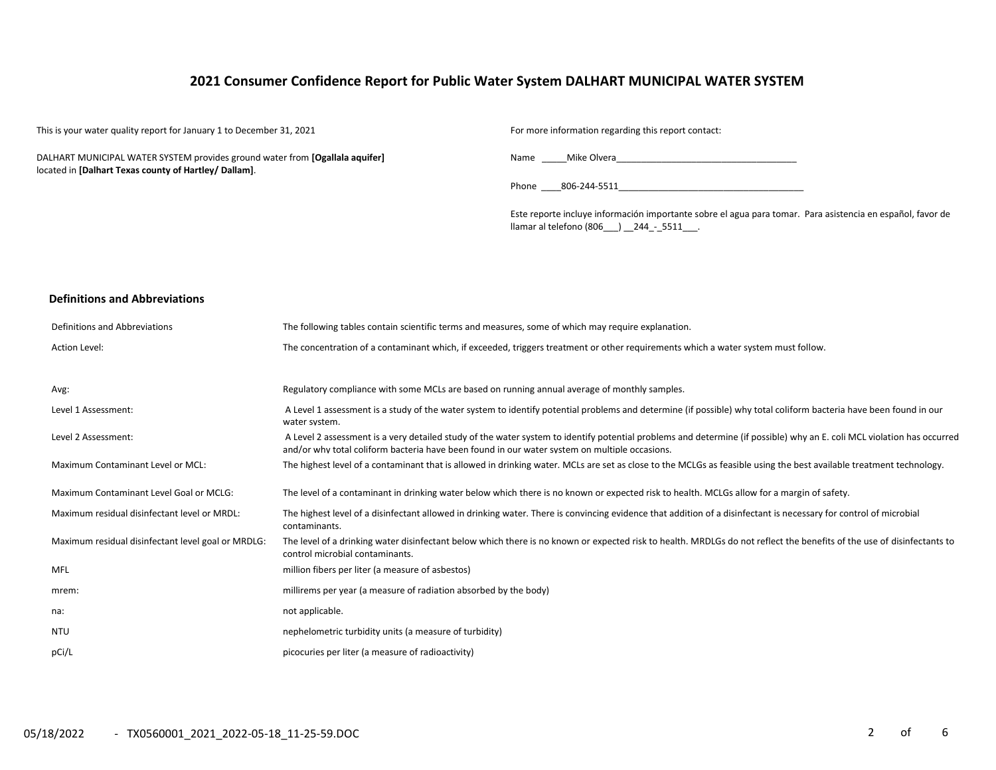# **2021 Consumer Confidence Report for Public Water System DALHART MUNICIPAL WATER SYSTEM**

This is your water quality report for January 1 to December 31, 2021 For more information regarding this report contact:

DALHART MUNICIPAL WATER SYSTEM provides ground water from **[Ogallala aquifer]** located in **[Dalhart Texas county of Hartley/ Dallam]**.

Name \_\_\_\_\_Mike Olvera\_\_\_\_\_\_\_\_\_\_\_\_\_\_\_\_\_\_\_\_\_\_\_\_\_\_\_\_\_\_\_\_\_\_\_\_

| Phone | 806-244-5511 |  |
|-------|--------------|--|
|       |              |  |

Este reporte incluye información importante sobre el agua para tomar. Para asistencia en español, favor de llamar al telefono (806\_\_\_) \_\_244\_-\_5511\_\_\_.

#### **Definitions and Abbreviations**

| Definitions and Abbreviations                      | The following tables contain scientific terms and measures, some of which may require explanation.                                                                                                                                                                      |
|----------------------------------------------------|-------------------------------------------------------------------------------------------------------------------------------------------------------------------------------------------------------------------------------------------------------------------------|
| <b>Action Level:</b>                               | The concentration of a contaminant which, if exceeded, triggers treatment or other requirements which a water system must follow.                                                                                                                                       |
|                                                    |                                                                                                                                                                                                                                                                         |
| Avg:                                               | Regulatory compliance with some MCLs are based on running annual average of monthly samples.                                                                                                                                                                            |
| Level 1 Assessment:                                | A Level 1 assessment is a study of the water system to identify potential problems and determine (if possible) why total coliform bacteria have been found in our<br>water system.                                                                                      |
| Level 2 Assessment:                                | A Level 2 assessment is a very detailed study of the water system to identify potential problems and determine (if possible) why an E. coli MCL violation has occurred<br>and/or why total coliform bacteria have been found in our water system on multiple occasions. |
| Maximum Contaminant Level or MCL:                  | The highest level of a contaminant that is allowed in drinking water. MCLs are set as close to the MCLGs as feasible using the best available treatment technology.                                                                                                     |
| Maximum Contaminant Level Goal or MCLG:            | The level of a contaminant in drinking water below which there is no known or expected risk to health. MCLGs allow for a margin of safety.                                                                                                                              |
| Maximum residual disinfectant level or MRDL:       | The highest level of a disinfectant allowed in drinking water. There is convincing evidence that addition of a disinfectant is necessary for control of microbial<br>contaminants.                                                                                      |
| Maximum residual disinfectant level goal or MRDLG: | The level of a drinking water disinfectant below which there is no known or expected risk to health. MRDLGs do not reflect the benefits of the use of disinfectants to<br>control microbial contaminants.                                                               |
| <b>MFL</b>                                         | million fibers per liter (a measure of asbestos)                                                                                                                                                                                                                        |
| mrem:                                              | millirems per year (a measure of radiation absorbed by the body)                                                                                                                                                                                                        |
| na:                                                | not applicable.                                                                                                                                                                                                                                                         |
| <b>NTU</b>                                         | nephelometric turbidity units (a measure of turbidity)                                                                                                                                                                                                                  |
| pCi/L                                              | picocuries per liter (a measure of radioactivity)                                                                                                                                                                                                                       |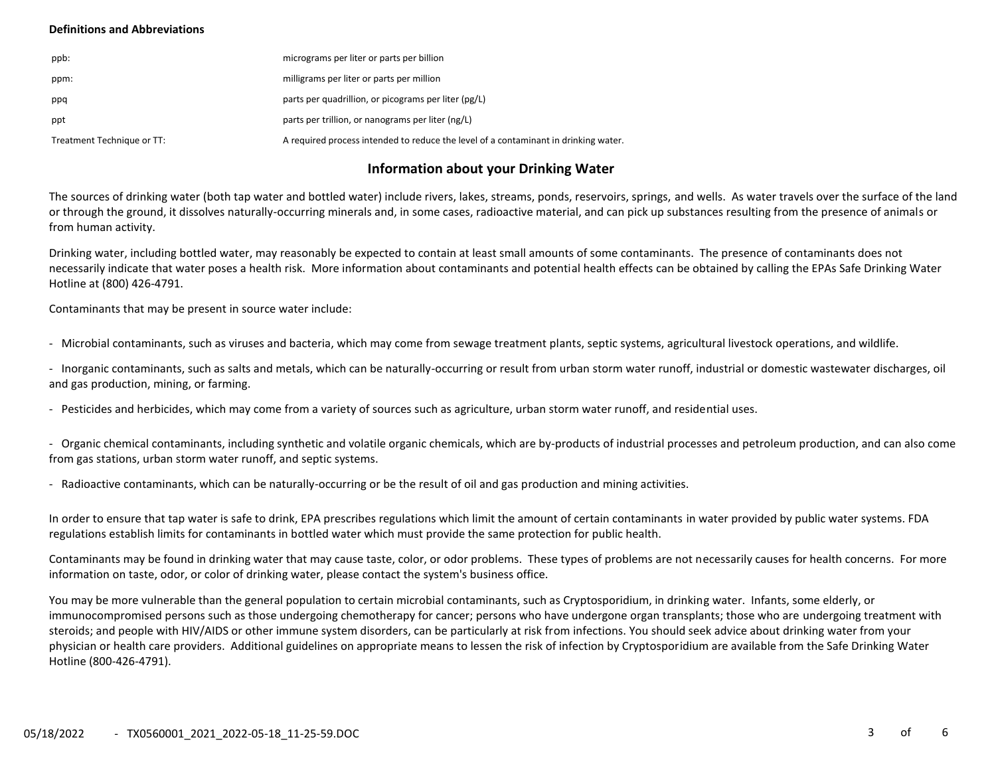### **Definitions and Abbreviations**

| ppb:                       | micrograms per liter or parts per billion                                           |
|----------------------------|-------------------------------------------------------------------------------------|
| ppm:                       | milligrams per liter or parts per million                                           |
| ppq                        | parts per quadrillion, or picograms per liter (pg/L)                                |
| ppt                        | parts per trillion, or nanograms per liter (ng/L)                                   |
| Treatment Technique or TT: | A required process intended to reduce the level of a contaminant in drinking water. |

# **Information about your Drinking Water**

The sources of drinking water (both tap water and bottled water) include rivers, lakes, streams, ponds, reservoirs, springs, and wells. As water travels over the surface of the land or through the ground, it dissolves naturally-occurring minerals and, in some cases, radioactive material, and can pick up substances resulting from the presence of animals or from human activity.

Drinking water, including bottled water, may reasonably be expected to contain at least small amounts of some contaminants. The presence of contaminants does not necessarily indicate that water poses a health risk. More information about contaminants and potential health effects can be obtained by calling the EPAs Safe Drinking Water Hotline at (800) 426-4791.

Contaminants that may be present in source water include:

- Microbial contaminants, such as viruses and bacteria, which may come from sewage treatment plants, septic systems, agricultural livestock operations, and wildlife.

- Inorganic contaminants, such as salts and metals, which can be naturally-occurring or result from urban storm water runoff, industrial or domestic wastewater discharges, oil and gas production, mining, or farming.

- Pesticides and herbicides, which may come from a variety of sources such as agriculture, urban storm water runoff, and residential uses.

- Organic chemical contaminants, including synthetic and volatile organic chemicals, which are by-products of industrial processes and petroleum production, and can also come from gas stations, urban storm water runoff, and septic systems.

- Radioactive contaminants, which can be naturally-occurring or be the result of oil and gas production and mining activities.

In order to ensure that tap water is safe to drink, EPA prescribes regulations which limit the amount of certain contaminants in water provided by public water systems. FDA regulations establish limits for contaminants in bottled water which must provide the same protection for public health.

Contaminants may be found in drinking water that may cause taste, color, or odor problems. These types of problems are not necessarily causes for health concerns. For more information on taste, odor, or color of drinking water, please contact the system's business office.

You may be more vulnerable than the general population to certain microbial contaminants, such as Cryptosporidium, in drinking water. Infants, some elderly, or immunocompromised persons such as those undergoing chemotherapy for cancer; persons who have undergone organ transplants; those who are undergoing treatment with steroids; and people with HIV/AIDS or other immune system disorders, can be particularly at risk from infections. You should seek advice about drinking water from your physician or health care providers. Additional guidelines on appropriate means to lessen the risk of infection by Cryptosporidium are available from the Safe Drinking Water Hotline (800-426-4791).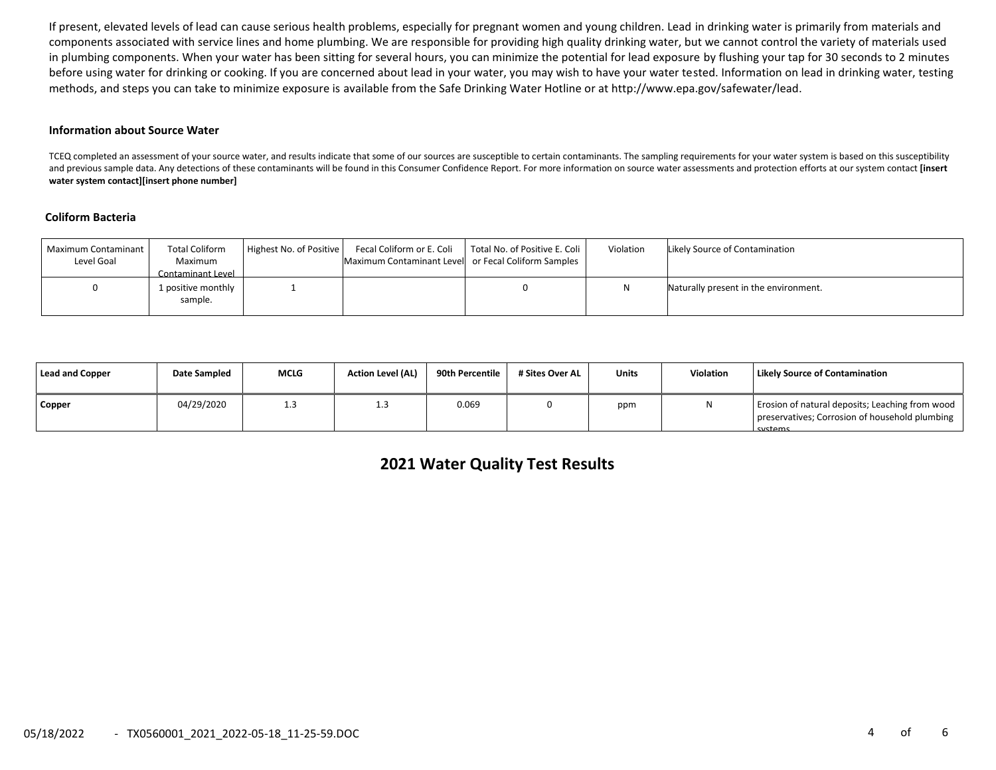If present, elevated levels of lead can cause serious health problems, especially for pregnant women and young children. Lead in drinking water is primarily from materials and components associated with service lines and home plumbing. We are responsible for providing high quality drinking water, but we cannot control the variety of materials used in plumbing components. When your water has been sitting for several hours, you can minimize the potential for lead exposure by flushing your tap for 30 seconds to 2 minutes before using water for drinking or cooking. If you are concerned about lead in your water, you may wish to have your water tested. Information on lead in drinking water, testing methods, and steps you can take to minimize exposure is available from the Safe Drinking Water Hotline or at http://www.epa.gov/safewater/lead.

#### **Information about Source Water**

TCEQ completed an assessment of your source water, and results indicate that some of our sources are susceptible to certain contaminants. The sampling requirements for your water system is based on this susceptibility and previous sample data. Any detections of these contaminants will be found in this Consumer Confidence Report. For more information on source water assessments and protection efforts at our system contact **[insert water system contact][insert phone number]**

#### **Coliform Bacteria**

| Maximum Contaminant<br>Level Goal | <b>Total Coliform</b><br>Maximum<br>Contaminant Level | Highest No. of Positive | Maximum Contaminant Level or Fecal Coliform Samples | Fecal Coliform or E. Coli   Total No. of Positive E. Coli | Violation | Likely Source of Contamination        |
|-----------------------------------|-------------------------------------------------------|-------------------------|-----------------------------------------------------|-----------------------------------------------------------|-----------|---------------------------------------|
|                                   | 1 positive monthly<br>sample.                         |                         |                                                     |                                                           |           | Naturally present in the environment. |

| Lead and Copper | Date Sampled | <b>MCLG</b> | <b>Action Level (AL)</b> | 90th Percentile | # Sites Over AL | <b>Units</b> | Violation | <b>Likely Source of Contamination</b>                                                                        |
|-----------------|--------------|-------------|--------------------------|-----------------|-----------------|--------------|-----------|--------------------------------------------------------------------------------------------------------------|
| <b>Copper</b>   | 04/29/2020   | 1.3         | <b></b>                  | 0.069           |                 | ppm          |           | Erosion of natural deposits; Leaching from wood<br>preservatives; Corrosion of household plumbing<br>cyctame |

# **2021 Water Quality Test Results**